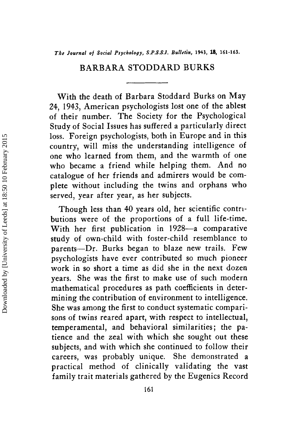## BARBARA STODDARD BURKS

With the death of Barbara Stoddard Burks on May 24, 1943, American psychologists lost one of the ablest of their number. The Society for the Psychological Study of Social Issues has suffered a particularly direct loss. Foreign psychologists, both in Europe and in this country, will miss the understanding intelligence of one who learned from them, and the warmth of one who became a friend while helping them. And no catalogue of her friends and admirers would be complete without including the twins and orphans who served, year after year, as her subjects.

Though less than 40 years old, her scientific contributions were of the proportions of a full life-time. With her first publication in 1928-a comparative study of own-child with foster-child resemblance to parents-Dr. Burks began to blaze new trails. Few psychologists have ever contributed so much pioneer work in so short a time as did she in the next dozen years. She was the first to make use of such modern mathematical procedures as path coefficients in determining the contribution of environment to intelligence. She was among the first to conduct systematic comparisons of twins reared apart, with respect to intellectual, temperamental, and behavioral similarities; the patience and the zeal with which she sought out these subjects, and with which she continued to follow their careers, was probably unique. She demonstrated a practical method of clinically validating the vast family trait materials gathered by the Eugenics Record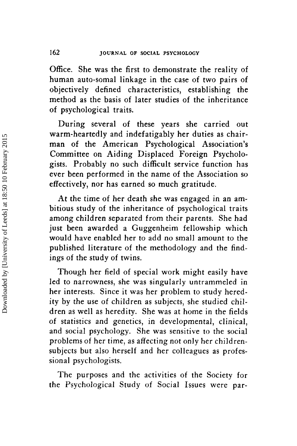Office. She was the first to demonstrate the reality of human auto-somal linkage in the case of two pairs of objectively defined characteristics, establishing the method as the basis of later studies of the inheritance of psychological traits.

During several of these years she carried out warm-heartedly and indefatigably her duties as chairman of the American Psychological Association's Committee on Aiding Displaced Foreign Psychologists. Probably no such difficult service function has ever been performed in the name of the Association so effectively, nor has earned so much gratitude.

At the time of her death she was engaged in an ambitious study of the inheritance of psychological traits among children separated from their parents. She had just been awarded a Guggenheim fellowship which would have enabled her to add no small amount to the published literature of the methodology and the findings of the study of twins.

Though her field of special work might easily have led to narrowness, she was singularly untrammeled in her interests. Since it was her problem to study heredity by the use of children as subjects, she studied children as well as heredity. She was at home in the fields of statistics and genetics, in developmental, clinical, and social psychology. She was sensitive to the social problems of her time, as affecting not only her childrensubjects but also herself and her colleagues as professional psychologists.

The purposes and the activities of the Society for the Psychological Study of Social Issues were par